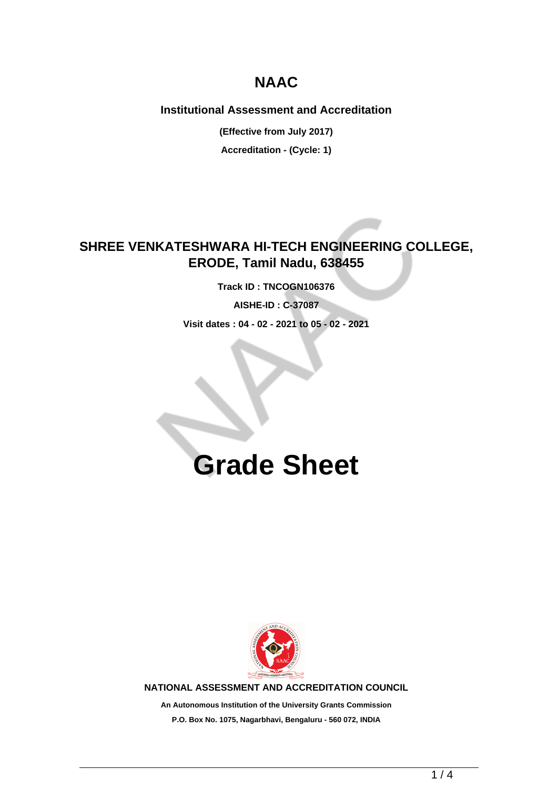## **NAAC**

### **Institutional Assessment and Accreditation**

**(Effective from July 2017)**

**Accreditation - (Cycle: 1)**

## **SHREE VENKATESHWARA HI-TECH ENGINEERING COLLEGE, ERODE, Tamil Nadu, 638455**

**Track ID : TNCOGN106376 AISHE-ID : C-37087 Visit dates : 04 - 02 - 2021 to 05 - 02 - 2021**

# **Grade Sheet**



**NATIONAL ASSESSMENT AND ACCREDITATION COUNCIL**

**An Autonomous Institution of the University Grants Commission P.O. Box No. 1075, Nagarbhavi, Bengaluru - 560 072, INDIA**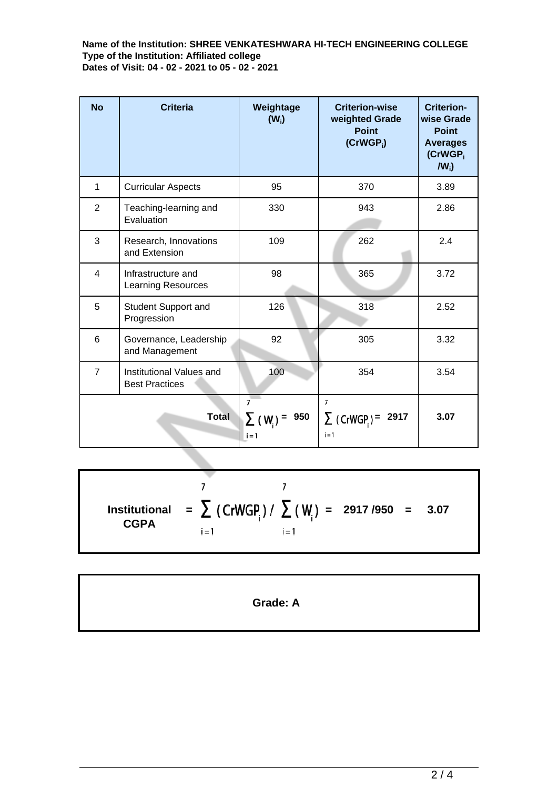**Name of the Institution: SHREE VENKATESHWARA HI-TECH ENGINEERING COLLEGE Type of the Institution: Affiliated college Dates of Visit: 04 - 02 - 2021 to 05 - 02 - 2021**

| <b>No</b>      | <b>Criteria</b>                                   | Weightage<br>$(W_i)$                             | <b>Criterion-wise</b><br>weighted Grade<br><b>Point</b><br>$(CrWGP_i)$ | <b>Criterion-</b><br>wise Grade<br><b>Point</b><br><b>Averages</b><br>(CrWGP <sub>i</sub><br>$IW_i$ |
|----------------|---------------------------------------------------|--------------------------------------------------|------------------------------------------------------------------------|-----------------------------------------------------------------------------------------------------|
| $\mathbf{1}$   | <b>Curricular Aspects</b>                         | 95                                               | 370                                                                    | 3.89                                                                                                |
| $\overline{2}$ | Teaching-learning and<br>Evaluation               | 330                                              | 943                                                                    | 2.86                                                                                                |
| 3              | Research, Innovations<br>and Extension            | 109                                              | 262                                                                    | 2.4                                                                                                 |
| $\overline{4}$ | Infrastructure and<br>Learning Resources          | 98                                               | 365                                                                    | 3.72                                                                                                |
| 5              | <b>Student Support and</b><br>Progression         | 126                                              | 318                                                                    | 2.52                                                                                                |
| 6              | Governance, Leadership<br>and Management          | 92                                               | 305                                                                    | 3.32                                                                                                |
| $\overline{7}$ | Institutional Values and<br><b>Best Practices</b> | 100                                              | 354                                                                    | 3.54                                                                                                |
| <b>Total</b>   |                                                   | $\overline{7}$<br>950<br>$\Sigma$ (W)<br>$i = 1$ | $\overline{7}$<br>$\sum$ (CrWGP) =<br>2917<br>i = 1                    | 3.07                                                                                                |

 $\overline{7}$  $\overline{7}$ **Institutional = = 2917 /950 = 3.07 CGPA**  $i = 1$  $i = 1$ 

**Grade: A**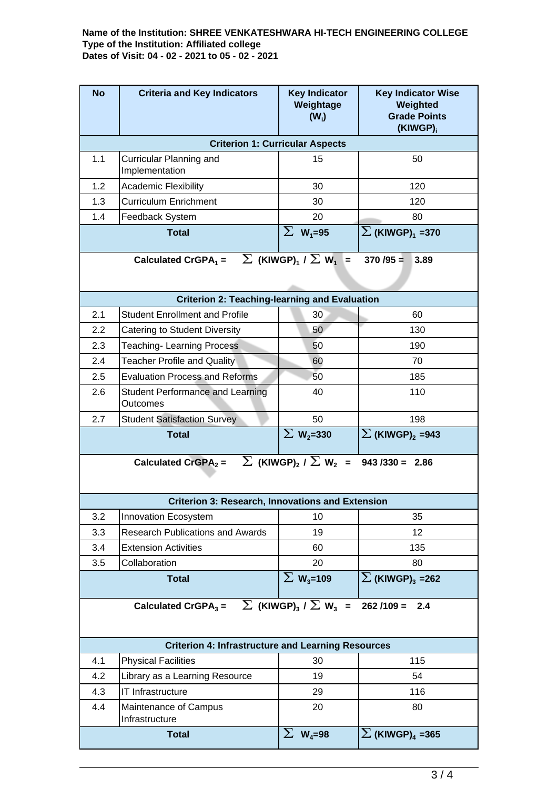#### **Name of the Institution: SHREE VENKATESHWARA HI-TECH ENGINEERING COLLEGE Type of the Institution: Affiliated college Dates of Visit: 04 - 02 - 2021 to 05 - 02 - 2021**

| <b>No</b>                                                                                                   | <b>Criteria and Key Indicators</b>                  | <b>Key Indicator</b><br>Weightage<br>$(W_i)$ | <b>Key Indicator Wise</b><br>Weighted<br><b>Grade Points</b><br>(KIWGP) <sub>i</sub> |  |  |  |  |
|-------------------------------------------------------------------------------------------------------------|-----------------------------------------------------|----------------------------------------------|--------------------------------------------------------------------------------------|--|--|--|--|
| <b>Criterion 1: Curricular Aspects</b>                                                                      |                                                     |                                              |                                                                                      |  |  |  |  |
| 1.1                                                                                                         | Curricular Planning and<br>Implementation           | 15                                           | 50                                                                                   |  |  |  |  |
| 1.2                                                                                                         | <b>Academic Flexibility</b>                         | 30                                           | 120                                                                                  |  |  |  |  |
| 1.3                                                                                                         | <b>Curriculum Enrichment</b>                        | 30                                           | 120                                                                                  |  |  |  |  |
| 1.4                                                                                                         | Feedback System                                     | 20                                           | 80                                                                                   |  |  |  |  |
|                                                                                                             | <b>Total</b>                                        | $\Sigma$ W <sub>1</sub> =95                  | $\Sigma$ (KIWGP) <sub>1</sub> =370                                                   |  |  |  |  |
| Calculated CrGPA <sub>1</sub> = $\sum$ (KIWGP) <sub>1</sub> / $\sum$ W <sub>1</sub> =<br>$370/95 =$<br>3.89 |                                                     |                                              |                                                                                      |  |  |  |  |
| <b>Criterion 2: Teaching-learning and Evaluation</b>                                                        |                                                     |                                              |                                                                                      |  |  |  |  |
| 2.1                                                                                                         | <b>Student Enrollment and Profile</b>               | 30                                           | 60                                                                                   |  |  |  |  |
| 2.2                                                                                                         | Catering to Student Diversity                       | 50                                           | 130                                                                                  |  |  |  |  |
| 2.3                                                                                                         | <b>Teaching-Learning Process</b>                    | 50                                           | 190                                                                                  |  |  |  |  |
| 2.4                                                                                                         | <b>Teacher Profile and Quality</b>                  | 60                                           | 70                                                                                   |  |  |  |  |
| 2.5                                                                                                         | <b>Evaluation Process and Reforms</b>               | 50                                           | 185                                                                                  |  |  |  |  |
| 2.6                                                                                                         | <b>Student Performance and Learning</b><br>Outcomes | 40                                           | 110                                                                                  |  |  |  |  |
| 2.7                                                                                                         | <b>Student Satisfaction Survey</b>                  | 50                                           | 198                                                                                  |  |  |  |  |
|                                                                                                             | <b>Total</b>                                        | $\Sigma$ W <sub>2</sub> =330                 | $\sum$ (KIWGP) <sub>2</sub> =943                                                     |  |  |  |  |
| Calculated CrGPA <sub>2</sub> = $\sum$ (KIWGP) <sub>2</sub> / $\sum$ W <sub>2</sub> = 943 /330 = 2.86       |                                                     |                                              |                                                                                      |  |  |  |  |
| <b>Criterion 3: Research, Innovations and Extension</b>                                                     |                                                     |                                              |                                                                                      |  |  |  |  |
| 3.2                                                                                                         | Innovation Ecosystem                                | 10                                           | 35                                                                                   |  |  |  |  |
| 3.3                                                                                                         | <b>Research Publications and Awards</b>             | 19                                           | 12 <sup>2</sup>                                                                      |  |  |  |  |
| 3.4                                                                                                         | <b>Extension Activities</b>                         | 60                                           | 135                                                                                  |  |  |  |  |
| 3.5                                                                                                         | Collaboration                                       | 20                                           | 80                                                                                   |  |  |  |  |
|                                                                                                             | <b>Total</b>                                        | $\Sigma$ W <sub>3</sub> =109                 | $\sum$ (KIWGP) <sub>3</sub> = 262                                                    |  |  |  |  |
| $\sum$ (KIWGP) <sub>3</sub> / $\sum$ W <sub>3</sub> =<br>Calculated CrGPA $_3$ =<br>$262/109 = 2.4$         |                                                     |                                              |                                                                                      |  |  |  |  |
| <b>Criterion 4: Infrastructure and Learning Resources</b>                                                   |                                                     |                                              |                                                                                      |  |  |  |  |
| 4.1                                                                                                         | <b>Physical Facilities</b>                          | 30                                           | 115                                                                                  |  |  |  |  |
| 4.2                                                                                                         | Library as a Learning Resource                      | 19                                           | 54                                                                                   |  |  |  |  |
| 4.3                                                                                                         | IT Infrastructure                                   | 29                                           | 116                                                                                  |  |  |  |  |
| 4.4                                                                                                         | Maintenance of Campus<br>Infrastructure             | 20                                           | 80                                                                                   |  |  |  |  |
| <b>Total</b>                                                                                                |                                                     | $\Sigma$ W <sub>4</sub> =98                  | $\sum$ (KIWGP) <sub>4</sub> = 365                                                    |  |  |  |  |